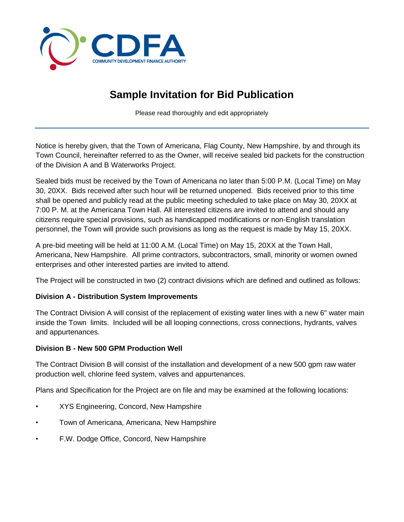

## **Sample Invitation for Bid Publication**

Please read thoroughly and edit appropriately

Notice is hereby given, that the Town of Americana, Flag County, New Hampshire, by and through its Town Council, hereinafter referred to as the Owner, will receive sealed bid packets for the construction of the Division A and B Waterworks Project.

Sealed bids must be received by the Town of Americana no later than 5:00 P.M. (Local Time) on May 30, 20XX. Bids received after such hour will be returned unopened. Bids received prior to this time shall be opened and publicly read at the public meeting scheduled to take place on May 30, 20XX at 7:00 P. M. at the Americana Town Hall. All interested citizens are invited to attend and should any citizens require special provisions, such as handicapped modifications or non-English translation personnel, the Town will provide such provisions as long as the request is made by May 15, 20XX.

A pre-bid meeting will be held at 11:00 A.M. (Local Time) on May 15, 20XX at the Town Hall, Americana, New Hampshire. All prime contractors, subcontractors, small, minority or women owned enterprises and other interested parties are invited to attend.

The Project will be constructed in two (2) contract divisions which are defined and outlined as follows:

## **Division A - Distribution System Improvements**

The Contract Division A will consist of the replacement of existing water lines with a new 6" water main inside the Town limits. Included will be all looping connections, cross connections, hydrants, valves and appurtenances.

## **Division B - New 500 GPM Production Well**

The Contract Division B will consist of the installation and development of a new 500 gpm raw water production well, chlorine feed system, valves and appurtenances.

Plans and Specification for the Project are on file and may be examined at the following locations:

- XYS Engineering, Concord, New Hampshire
- Town of Americana, Americana, New Hampshire
- F.W. Dodge Office, Concord, New Hampshire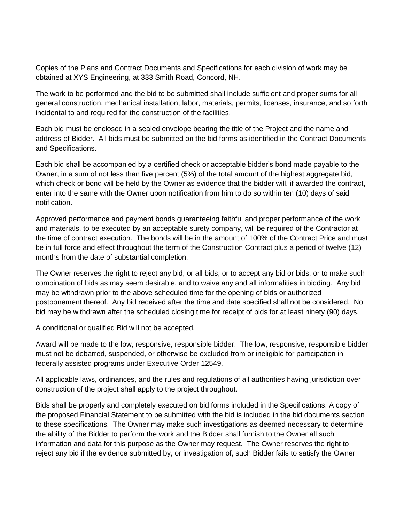Copies of the Plans and Contract Documents and Specifications for each division of work may be obtained at XYS Engineering, at 333 Smith Road, Concord, NH.

The work to be performed and the bid to be submitted shall include sufficient and proper sums for all general construction, mechanical installation, labor, materials, permits, licenses, insurance, and so forth incidental to and required for the construction of the facilities.

Each bid must be enclosed in a sealed envelope bearing the title of the Project and the name and address of Bidder. All bids must be submitted on the bid forms as identified in the Contract Documents and Specifications.

Each bid shall be accompanied by a certified check or acceptable bidder's bond made payable to the Owner, in a sum of not less than five percent (5%) of the total amount of the highest aggregate bid, which check or bond will be held by the Owner as evidence that the bidder will, if awarded the contract, enter into the same with the Owner upon notification from him to do so within ten (10) days of said notification.

Approved performance and payment bonds guaranteeing faithful and proper performance of the work and materials, to be executed by an acceptable surety company, will be required of the Contractor at the time of contract execution. The bonds will be in the amount of 100% of the Contract Price and must be in full force and effect throughout the term of the Construction Contract plus a period of twelve (12) months from the date of substantial completion.

The Owner reserves the right to reject any bid, or all bids, or to accept any bid or bids, or to make such combination of bids as may seem desirable, and to waive any and all informalities in bidding. Any bid may be withdrawn prior to the above scheduled time for the opening of bids or authorized postponement thereof. Any bid received after the time and date specified shall not be considered. No bid may be withdrawn after the scheduled closing time for receipt of bids for at least ninety (90) days.

A conditional or qualified Bid will not be accepted.

Award will be made to the low, responsive, responsible bidder. The low, responsive, responsible bidder must not be debarred, suspended, or otherwise be excluded from or ineligible for participation in federally assisted programs under Executive Order 12549.

All applicable laws, ordinances, and the rules and regulations of all authorities having jurisdiction over construction of the project shall apply to the project throughout.

Bids shall be properly and completely executed on bid forms included in the Specifications. A copy of the proposed Financial Statement to be submitted with the bid is included in the bid documents section to these specifications. The Owner may make such investigations as deemed necessary to determine the ability of the Bidder to perform the work and the Bidder shall furnish to the Owner all such information and data for this purpose as the Owner may request. The Owner reserves the right to reject any bid if the evidence submitted by, or investigation of, such Bidder fails to satisfy the Owner